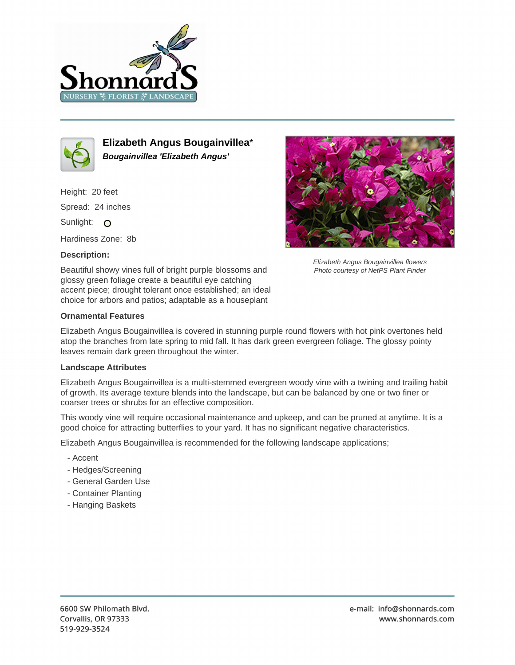



**Elizabeth Angus Bougainvillea**\* **Bougainvillea 'Elizabeth Angus'**

Height: 20 feet Spread: 24 inches Sunlight: O

Hardiness Zone: 8b

## **Description:**



Elizabeth Angus Bougainvillea flowers Photo courtesy of NetPS Plant Finder

Beautiful showy vines full of bright purple blossoms and glossy green foliage create a beautiful eye catching accent piece; drought tolerant once established; an ideal choice for arbors and patios; adaptable as a houseplant

## **Ornamental Features**

Elizabeth Angus Bougainvillea is covered in stunning purple round flowers with hot pink overtones held atop the branches from late spring to mid fall. It has dark green evergreen foliage. The glossy pointy leaves remain dark green throughout the winter.

## **Landscape Attributes**

Elizabeth Angus Bougainvillea is a multi-stemmed evergreen woody vine with a twining and trailing habit of growth. Its average texture blends into the landscape, but can be balanced by one or two finer or coarser trees or shrubs for an effective composition.

This woody vine will require occasional maintenance and upkeep, and can be pruned at anytime. It is a good choice for attracting butterflies to your yard. It has no significant negative characteristics.

Elizabeth Angus Bougainvillea is recommended for the following landscape applications;

- Accent
- Hedges/Screening
- General Garden Use
- Container Planting
- Hanging Baskets